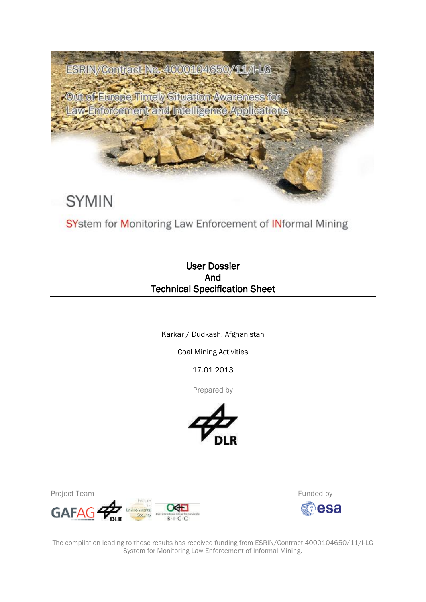

SYstem for Monitoring Law Enforcement of INformal Mining

# User Dossier And Technical Specification Sheet

Karkar / Dudkash, Afghanistan

Coal Mining Activities

17.01.2013

Prepared by



Project Team





The compilation leading to these results has received funding from ESRIN/Contract 4000104650/11/I-LG System for Monitoring Law Enforcement of Informal Mining.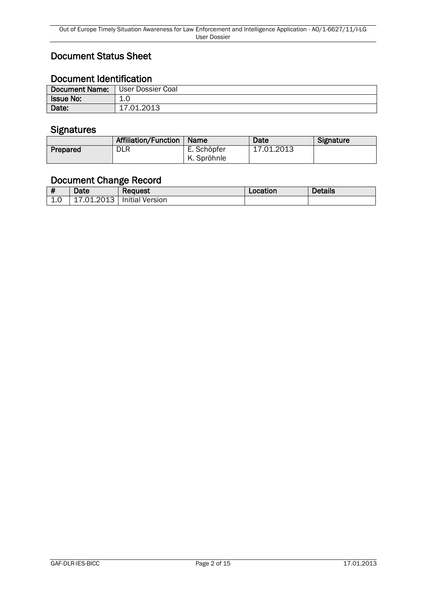# Document Status Sheet

# Document Identification

| <b>Document Name:</b> | l User Dossier Coal   |
|-----------------------|-----------------------|
| <b>Issue No:</b>      | 1.0<br>$\overline{ }$ |
| Date:                 | 17.01.2013            |

### **Signatures**

|          | <b>Affiliation/Function</b> | <b>Name</b> | Date       | Signature |
|----------|-----------------------------|-------------|------------|-----------|
| Prepared | <b>DLR</b>                  | E. Schöpfer | 17.01.2013 |           |
|          |                             | K. Spröhnle |            |           |

# Document Change Record

|     | Date       | <b>Request</b>         | Location | <b>Details</b> |
|-----|------------|------------------------|----------|----------------|
| 1.0 | 17.01.2013 | <b>Initial Version</b> |          |                |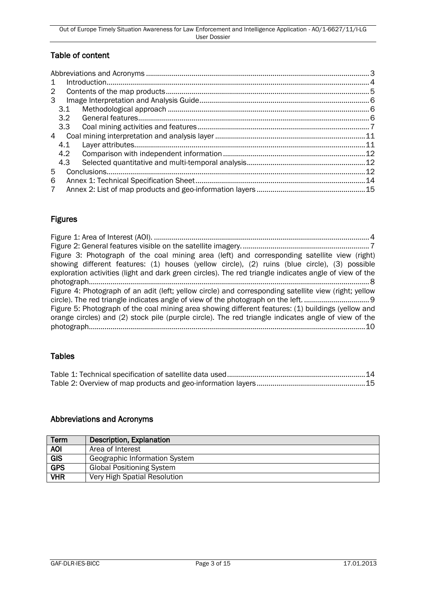### Table of content

| $\mathbf{1}$         |     |
|----------------------|-----|
| $\mathbf{2}^{\circ}$ |     |
| 3                    |     |
| 3.1                  |     |
| 3.2                  |     |
| 3.3                  |     |
| 4                    |     |
| 4.1                  |     |
| 4.2                  |     |
| 4.3                  |     |
| 5                    |     |
| 6                    | .14 |
| $\overline{7}$       |     |

### Figures

| Figure 3: Photograph of the coal mining area (left) and corresponding satellite view (right)           |
|--------------------------------------------------------------------------------------------------------|
| showing different features: (1) houses (yellow circle), (2) ruins (blue circle), (3) possible          |
| exploration activities (light and dark green circles). The red triangle indicates angle of view of the |
|                                                                                                        |
| Figure 4: Photograph of an adit (left; yellow circle) and corresponding satellite view (right; yellow  |
|                                                                                                        |
| Figure 5: Photograph of the coal mining area showing different features: (1) buildings (yellow and     |
| orange circles) and (2) stock pile (purple circle). The red triangle indicates angle of view of the    |
|                                                                                                        |
|                                                                                                        |

### **Tables**

### <span id="page-2-0"></span>Abbreviations and Acronyms

| <b>Term</b> | Description, Explanation         |
|-------------|----------------------------------|
| <b>AOI</b>  | Area of Interest                 |
| <b>GIS</b>  | Geographic Information System    |
| <b>GPS</b>  | <b>Global Positioning System</b> |
| <b>VHR</b>  | Very High Spatial Resolution     |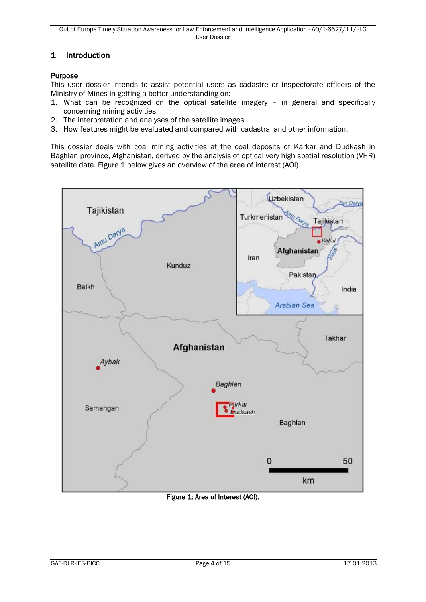### <span id="page-3-0"></span>1 Introduction

#### Purpose

This user dossier intends to assist potential users as cadastre or inspectorate officers of the Ministry of Mines in getting a better understanding on:

- 1. What can be recognized on the optical satellite imagery in general and specifically concerning mining activities,
- 2. The interpretation and analyses of the satellite images,
- 3. How features might be evaluated and compared with cadastral and other information.

This dossier deals with coal mining activities at the coal deposits of Karkar and Dudkash in Baghlan province, Afghanistan, derived by the analysis of optical very high spatial resolution (VHR) satellite data. Figure 1 below gives an overview of the area of interest (AOI).



<span id="page-3-1"></span>Figure 1: Area of Interest (AOI).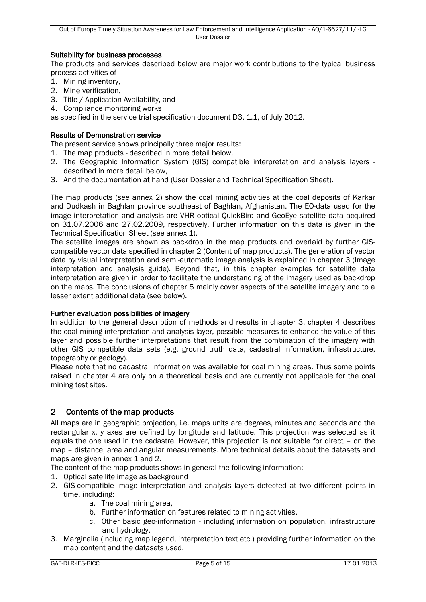#### Suitability for business processes

The products and services described below are major work contributions to the typical business process activities of

- 1. Mining inventory,
- 2. Mine verification,
- 3. Title / Application Availability, and
- 4. Compliance monitoring works

as specified in the service trial specification document D3, 1.1, of July 2012.

#### Results of Demonstration service

The present service shows principally three major results:

- 1. The map products described in more detail below,
- 2. The Geographic Information System (GIS) compatible interpretation and analysis layers described in more detail below,
- 3. And the documentation at hand (User Dossier and Technical Specification Sheet).

The map products (see annex 2) show the coal mining activities at the coal deposits of Karkar and Dudkash in Baghlan province southeast of Baghlan, Afghanistan. The EO-data used for the image interpretation and analysis are VHR optical QuickBird and GeoEye satellite data acquired on 31.07.2006 and 27.02.2009, respectively. Further information on this data is given in the Technical Specification Sheet (see annex 1).

The satellite images are shown as backdrop in the map products and overlaid by further GIScompatible vector data specified in chapter 2 (Content of map products). The generation of vector data by visual interpretation and semi-automatic image analysis is explained in chapter 3 (Image interpretation and analysis guide). Beyond that, in this chapter examples for satellite data interpretation are given in order to facilitate the understanding of the imagery used as backdrop on the maps. The conclusions of chapter 5 mainly cover aspects of the satellite imagery and to a lesser extent additional data (see below).

#### Further evaluation possibilities of imagery

In addition to the general description of methods and results in chapter 3, chapter 4 describes the coal mining interpretation and analysis layer, possible measures to enhance the value of this layer and possible further interpretations that result from the combination of the imagery with other GIS compatible data sets (e.g. ground truth data, cadastral information, infrastructure, topography or geology).

Please note that no cadastral information was available for coal mining areas. Thus some points raised in chapter 4 are only on a theoretical basis and are currently not applicable for the coal mining test sites.

#### <span id="page-4-0"></span>2 Contents of the map products

All maps are in geographic projection, i.e. maps units are degrees, minutes and seconds and the rectangular x, y axes are defined by longitude and latitude. This projection was selected as it equals the one used in the cadastre. However, this projection is not suitable for direct – on the map – distance, area and angular measurements. More technical details about the datasets and maps are given in annex 1 and 2.

The content of the map products shows in general the following information:

- 1. Optical satellite image as background
- 2. GIS-compatible image interpretation and analysis layers detected at two different points in time, including:
	- a. The coal mining area,
	- b. Further information on features related to mining activities,
	- c. Other basic geo-information including information on population, infrastructure and hydrology,
- 3. Marginalia (including map legend, interpretation text etc.) providing further information on the map content and the datasets used.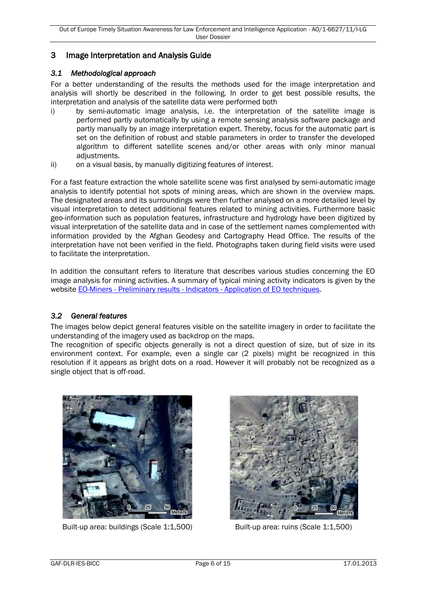### <span id="page-5-0"></span>3 Image Interpretation and Analysis Guide

#### <span id="page-5-1"></span>*3.1 Methodological approach*

For a better understanding of the results the methods used for the image interpretation and analysis will shortly be described in the following. In order to get best possible results, the interpretation and analysis of the satellite data were performed both

- i) by semi-automatic image analysis, i.e. the interpretation of the satellite image is performed partly automatically by using a remote sensing analysis software package and partly manually by an image interpretation expert. Thereby, focus for the automatic part is set on the definition of robust and stable parameters in order to transfer the developed algorithm to different satellite scenes and/or other areas with only minor manual adjustments.
- ii) on a visual basis, by manually digitizing features of interest.

For a fast feature extraction the whole satellite scene was first analysed by semi-automatic image analysis to identify potential hot spots of mining areas, which are shown in the overview maps. The designated areas and its surroundings were then further analysed on a more detailed level by visual interpretation to detect additional features related to mining activities. Furthermore basic geo-information such as population features, infrastructure and hydrology have been digitized by visual interpretation of the satellite data and in case of the settlement names complemented with information provided by the Afghan Geodesy and Cartography Head Office. The results of the interpretation have not been verified in the field. Photographs taken during field visits were used to facilitate the interpretation.

In addition the consultant refers to literature that describes various studies concerning the EO image analysis for mining activities. A summary of typical mining activity indicators is given by the website EO-Miners - Preliminary results - Indicators - [Application of EO techniques.](http://www.eo-miners.eu/prelim_results/pr_indi_application.htm)

#### <span id="page-5-2"></span>*3.2 General features*

The images below depict general features visible on the satellite imagery in order to facilitate the understanding of the imagery used as backdrop on the maps.

The recognition of specific objects generally is not a direct question of size, but of size in its environment context. For example, even a single car (2 pixels) might be recognized in this resolution if it appears as bright dots on a road. However it will probably not be recognized as a single object that is off-road.



Built-up area: buildings (Scale 1:1,500) Built-up area: ruins (Scale 1:1,500)

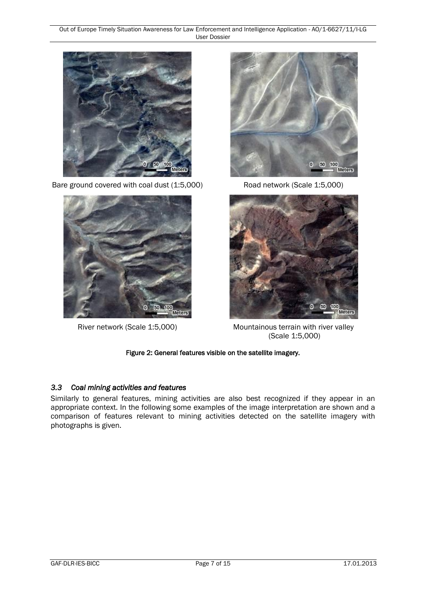Out of Europe Timely Situation Awareness for Law Enforcement and Intelligence Application - AO/1-6627/11/I-LG User Dossier



Bare ground covered with coal dust (1:5,000) Road network (Scale 1:5,000)







River network (Scale 1:5,000) Mountainous terrain with river valley (Scale 1:5,000)

Figure 2: General features visible on the satellite imagery.

### <span id="page-6-1"></span><span id="page-6-0"></span>*3.3 Coal mining activities and features*

Similarly to general features, mining activities are also best recognized if they appear in an appropriate context. In the following some examples of the image interpretation are shown and a comparison of features relevant to mining activities detected on the satellite imagery with photographs is given.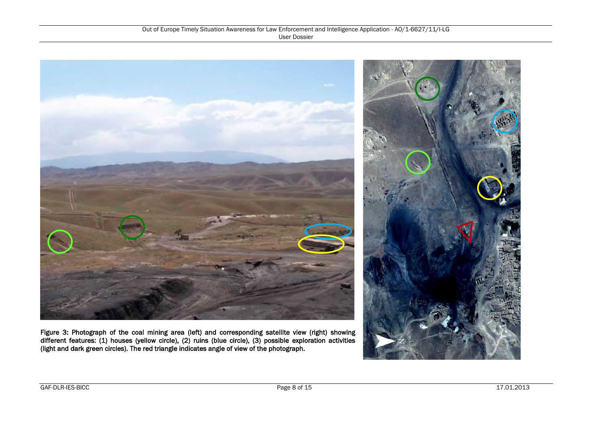

<span id="page-7-0"></span>Figure 3: Photograph of the coal mining area (left) and corresponding satellite view (right) showing different features: (1) houses (yellow circle), (2) ruins (blue circle), (3) possible exploration activities (light and dark green circles). The red triangle indicates angle of view of the photograph.

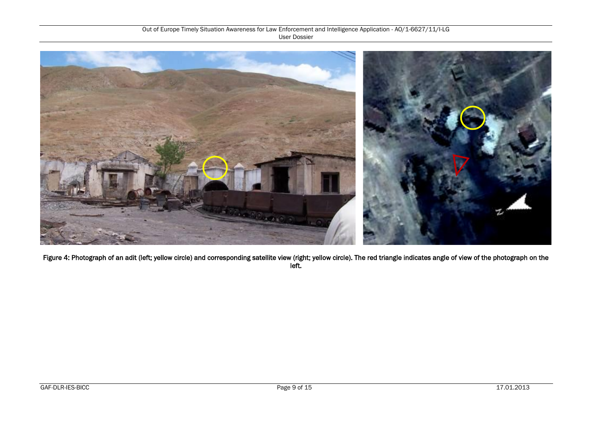

<span id="page-8-0"></span>Figure 4: Photograph of an adit (left; yellow circle) and corresponding satellite view (right; yellow circle). The red triangle indicates angle of view of the photograph on the left.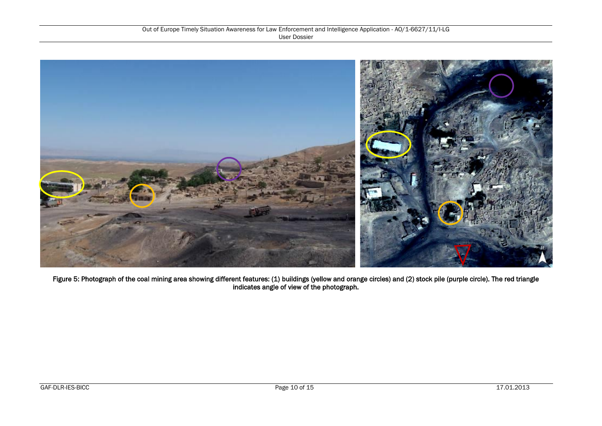

<span id="page-9-0"></span>Figure 5: Photograph of the coal mining area showing different features: (1) buildings (yellow and orange circles) and (2) stock pile (purple circle). The red triangle indicates angle of view of the photograph.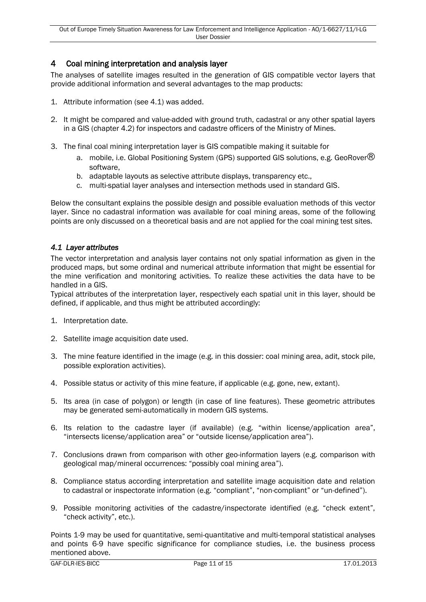### <span id="page-10-0"></span>4 Coal mining interpretation and analysis layer

The analyses of satellite images resulted in the generation of GIS compatible vector layers that provide additional information and several advantages to the map products:

- 1. Attribute information (see 4.1) was added.
- 2. It might be compared and value-added with ground truth, cadastral or any other spatial layers in a GIS (chapter 4.2) for inspectors and cadastre officers of the Ministry of Mines.
- 3. The final coal mining interpretation layer is GIS compatible making it suitable for
	- a. mobile, i.e. Global Positioning System (GPS) supported GIS solutions, e.g. GeoRover $\circledR$ software,
	- b. adaptable layouts as selective attribute displays, transparency etc.,
	- c. multi-spatial layer analyses and intersection methods used in standard GIS.

Below the consultant explains the possible design and possible evaluation methods of this vector layer. Since no cadastral information was available for coal mining areas, some of the following points are only discussed on a theoretical basis and are not applied for the coal mining test sites.

#### <span id="page-10-1"></span>*4.1 Layer attributes*

The vector interpretation and analysis layer contains not only spatial information as given in the produced maps, but some ordinal and numerical attribute information that might be essential for the mine verification and monitoring activities. To realize these activities the data have to be handled in a GIS.

Typical attributes of the interpretation layer, respectively each spatial unit in this layer, should be defined, if applicable, and thus might be attributed accordingly:

- 1. Interpretation date.
- 2. Satellite image acquisition date used.
- 3. The mine feature identified in the image (e.g. in this dossier: coal mining area, adit, stock pile, possible exploration activities).
- 4. Possible status or activity of this mine feature, if applicable (e.g. gone, new, extant).
- 5. Its area (in case of polygon) or length (in case of line features). These geometric attributes may be generated semi-automatically in modern GIS systems.
- 6. Its relation to the cadastre layer (if available) (e.g. "within license/application area", "intersects license/application area" or "outside license/application area").
- 7. Conclusions drawn from comparison with other geo-information layers (e.g. comparison with geological map/mineral occurrences: "possibly coal mining area").
- 8. Compliance status according interpretation and satellite image acquisition date and relation to cadastral or inspectorate information (e.g. "compliant", "non-compliant" or "un-defined").
- 9. Possible monitoring activities of the cadastre/inspectorate identified (e.g. "check extent", "check activity", etc.).

Points 1-9 may be used for quantitative, semi-quantitative and multi-temporal statistical analyses and points 6-9 have specific significance for compliance studies, i.e. the business process mentioned above.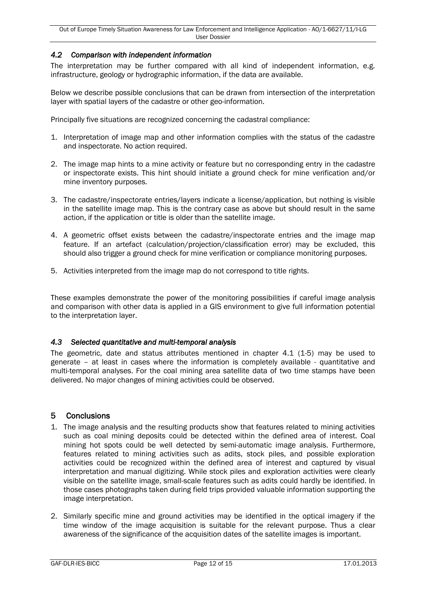#### <span id="page-11-0"></span>*4.2 Comparison with independent information*

The interpretation may be further compared with all kind of independent information, e.g. infrastructure, geology or hydrographic information, if the data are available.

Below we describe possible conclusions that can be drawn from intersection of the interpretation layer with spatial layers of the cadastre or other geo-information.

Principally five situations are recognized concerning the cadastral compliance:

- 1. Interpretation of image map and other information complies with the status of the cadastre and inspectorate. No action required.
- 2. The image map hints to a mine activity or feature but no corresponding entry in the cadastre or inspectorate exists. This hint should initiate a ground check for mine verification and/or mine inventory purposes.
- 3. The cadastre/inspectorate entries/layers indicate a license/application, but nothing is visible in the satellite image map. This is the contrary case as above but should result in the same action, if the application or title is older than the satellite image.
- 4. A geometric offset exists between the cadastre/inspectorate entries and the image map feature. If an artefact (calculation/projection/classification error) may be excluded, this should also trigger a ground check for mine verification or compliance monitoring purposes.
- 5. Activities interpreted from the image map do not correspond to title rights.

These examples demonstrate the power of the monitoring possibilities if careful image analysis and comparison with other data is applied in a GIS environment to give full information potential to the interpretation layer.

#### <span id="page-11-1"></span>*4.3 Selected quantitative and multi-temporal analysis*

The geometric, date and status attributes mentioned in chapter 4.1 (1-5) may be used to generate – at least in cases where the information is completely available - quantitative and multi-temporal analyses. For the coal mining area satellite data of two time stamps have been delivered. No major changes of mining activities could be observed.

#### <span id="page-11-2"></span>5 Conclusions

- 1. The image analysis and the resulting products show that features related to mining activities such as coal mining deposits could be detected within the defined area of interest. Coal mining hot spots could be well detected by semi-automatic image analysis. Furthermore, features related to mining activities such as adits, stock piles, and possible exploration activities could be recognized within the defined area of interest and captured by visual interpretation and manual digitizing. While stock piles and exploration activities were clearly visible on the satellite image, small-scale features such as adits could hardly be identified. In those cases photographs taken during field trips provided valuable information supporting the image interpretation.
- 2. Similarly specific mine and ground activities may be identified in the optical imagery if the time window of the image acquisition is suitable for the relevant purpose. Thus a clear awareness of the significance of the acquisition dates of the satellite images is important.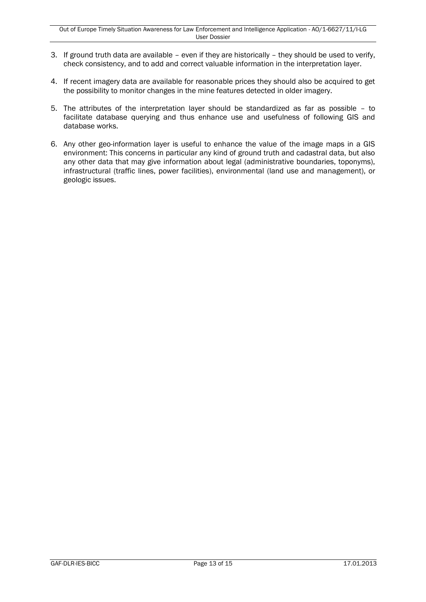- 3. If ground truth data are available even if they are historically they should be used to verify, check consistency, and to add and correct valuable information in the interpretation layer.
- 4. If recent imagery data are available for reasonable prices they should also be acquired to get the possibility to monitor changes in the mine features detected in older imagery.
- 5. The attributes of the interpretation layer should be standardized as far as possible to facilitate database querying and thus enhance use and usefulness of following GIS and database works.
- 6. Any other geo-information layer is useful to enhance the value of the image maps in a GIS environment: This concerns in particular any kind of ground truth and cadastral data, but also any other data that may give information about legal (administrative boundaries, toponyms), infrastructural (traffic lines, power facilities), environmental (land use and management), or geologic issues.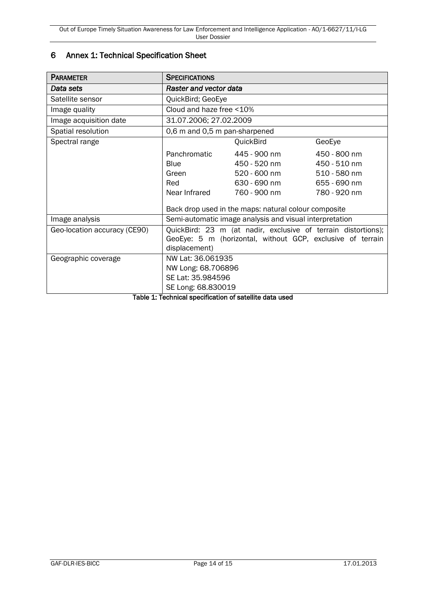### <span id="page-13-0"></span>6 Annex 1: Technical Specification Sheet

| <b>PARAMETER</b>             | <b>SPECIFICATIONS</b>                                                                                                                        |                                                      |              |
|------------------------------|----------------------------------------------------------------------------------------------------------------------------------------------|------------------------------------------------------|--------------|
| Data sets                    | Raster and vector data                                                                                                                       |                                                      |              |
| Satellite sensor             | QuickBird; GeoEye                                                                                                                            |                                                      |              |
| Image quality                | Cloud and haze free <10%                                                                                                                     |                                                      |              |
| Image acquisition date       | 31.07.2006; 27.02.2009                                                                                                                       |                                                      |              |
| Spatial resolution           | 0,6 m and 0,5 m pan-sharpened                                                                                                                |                                                      |              |
| Spectral range               |                                                                                                                                              | QuickBird                                            | GeoEye       |
|                              | Panchromatic                                                                                                                                 | 445 - 900 nm                                         | 450 - 800 nm |
|                              | <b>Blue</b>                                                                                                                                  | 450 - 520 nm                                         | 450 - 510 nm |
|                              | Green                                                                                                                                        | 520 - 600 nm                                         | 510 - 580 nm |
|                              | Red                                                                                                                                          | 630 - 690 nm                                         | 655 - 690 nm |
|                              | Near Infrared                                                                                                                                | 760 - 900 nm                                         | 780 - 920 nm |
|                              |                                                                                                                                              | Back drop used in the maps: natural colour composite |              |
| Image analysis               | Semi-automatic image analysis and visual interpretation                                                                                      |                                                      |              |
| Geo-location accuracy (CE90) | QuickBird: 23 m (at nadir, exclusive of terrain distortions);<br>GeoEye: 5 m (horizontal, without GCP, exclusive of terrain<br>displacement) |                                                      |              |
| Geographic coverage          | NW Lat: 36.061935                                                                                                                            |                                                      |              |
|                              | NW Long: 68.706896                                                                                                                           |                                                      |              |
|                              | SE Lat: 35.984596                                                                                                                            |                                                      |              |
|                              | SE Long: 68.830019                                                                                                                           |                                                      |              |

<span id="page-13-1"></span>Table 1: Technical specification of satellite data used